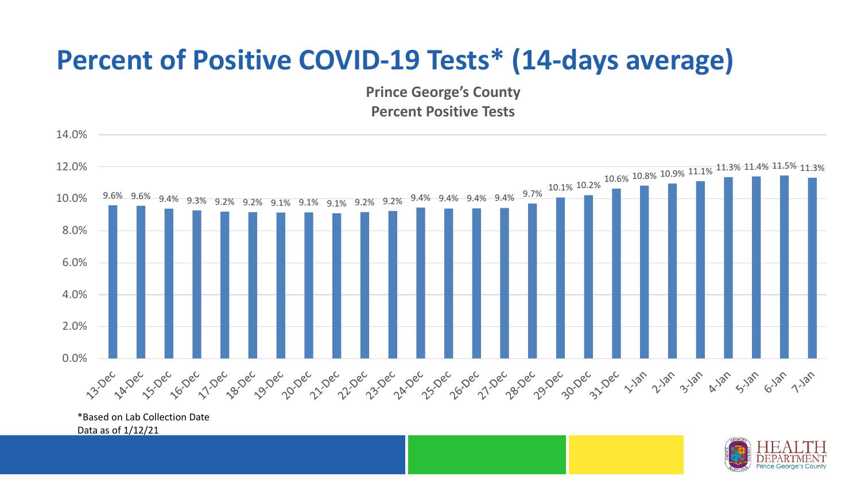## **Percent of Positive COVID-19 Tests\* (14-days average)**

**Prince George's County Percent Positive Tests**



\*Based on Lab Collection Date Data as of 1/12/21

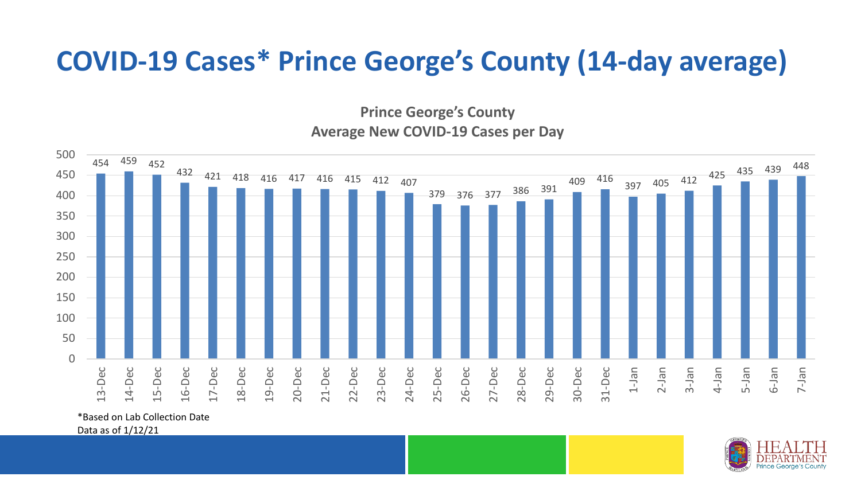## **COVID-19 Cases\* Prince George's County (14-day average)**

**Prince George's County Average New COVID-19 Cases per Day**



\*Based on Lab Collection Date

Data as of 1/12/21